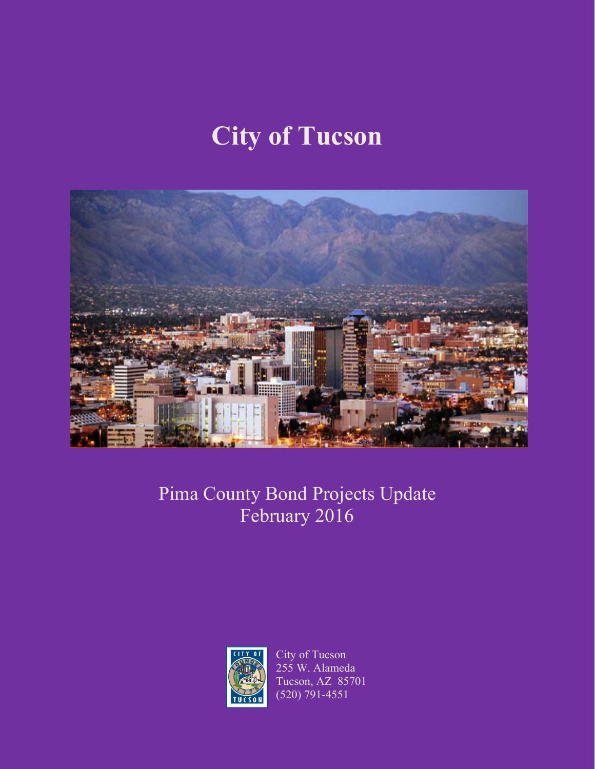# **City of Tucson**



# Pima County Bond Projects Update February 2016



City of Tucson 255 W. Alameda Tucson, AZ 85701 (520) 791-4551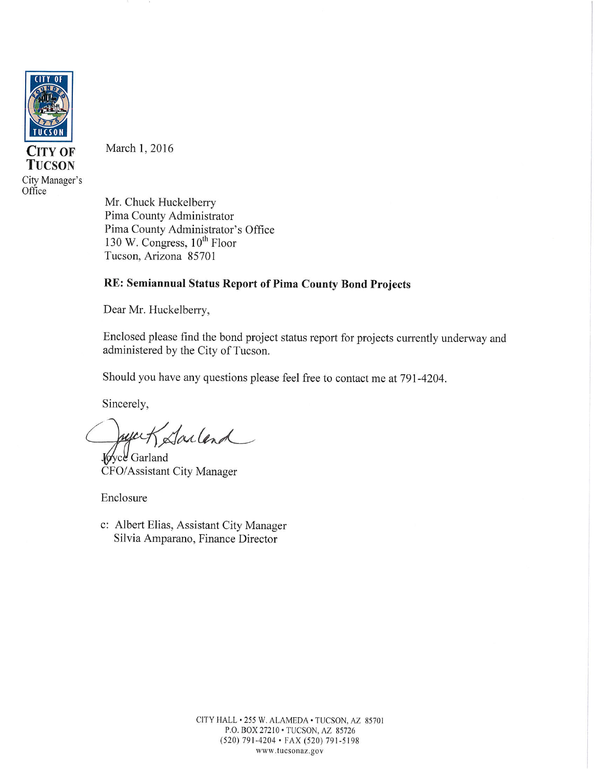

CITY OF **TUCSON** City Manager's

Office

March 1, 2016

Mr. Chuck Huckelberry Pima County Administrator Pima County Administrator's Office 130 W. Congress,  $10^{th}$  Floor Tucson, Arizona 85701

#### RE: Semiannual Status Report of Pima County Bond Projects

Dear Mr. Huckelberry,

Enclosed please find the bond project status report for projects currently underway and administered by the City of Tucson.

Should you have any questions please feel free to contact me at 791-4204.

Sincerely,

Sailand

Voyce Garland CFO/Assistant City Manager

Enclosure

c: Albert Elias, Assistant City Manager Silvia Amparano, Finance Director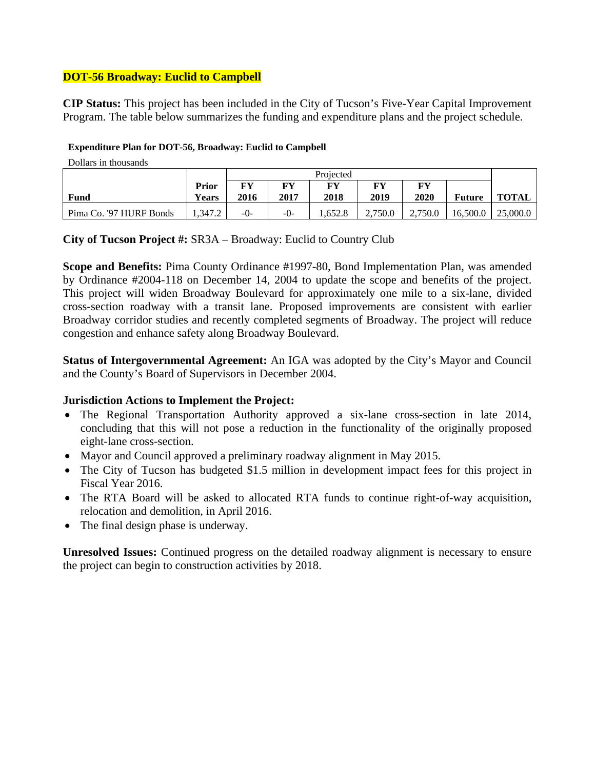# **DOT-56 Broadway: Euclid to Campbell**

**CIP Status:** This project has been included in the City of Tucson's Five-Year Capital Improvement Program. The table below summarizes the funding and expenditure plans and the project schedule.

#### **Expenditure Plan for DOT-56, Broadway: Euclid to Campbell**

Dollars in thousands

|                         |              | Projected |       |             |         |         |               |              |
|-------------------------|--------------|-----------|-------|-------------|---------|---------|---------------|--------------|
|                         | <b>Prior</b> | FY        | FY    | FV          | FY      | FУ      |               |              |
| Fund                    | <b>Years</b> | 2016      | 2017  | <b>2018</b> | 2019    | 2020    | <b>Future</b> | <b>TOTAL</b> |
| Pima Co. '97 HURF Bonds | 1.347.2      | $-0-$     | $-0-$ | 652.8       | 2.750.0 | 2.750.0 | 16.500.0      | 25,000.0     |

## **City of Tucson Project #:** SR3A – Broadway: Euclid to Country Club

**Scope and Benefits:** Pima County Ordinance #1997-80, Bond Implementation Plan, was amended by Ordinance #2004-118 on December 14, 2004 to update the scope and benefits of the project. This project will widen Broadway Boulevard for approximately one mile to a six-lane, divided cross-section roadway with a transit lane. Proposed improvements are consistent with earlier Broadway corridor studies and recently completed segments of Broadway. The project will reduce congestion and enhance safety along Broadway Boulevard.

**Status of Intergovernmental Agreement:** An IGA was adopted by the City's Mayor and Council and the County's Board of Supervisors in December 2004.

## **Jurisdiction Actions to Implement the Project:**

- The Regional Transportation Authority approved a six-lane cross-section in late 2014, concluding that this will not pose a reduction in the functionality of the originally proposed eight-lane cross-section.
- Mayor and Council approved a preliminary roadway alignment in May 2015.
- The City of Tucson has budgeted \$1.5 million in development impact fees for this project in Fiscal Year 2016.
- The RTA Board will be asked to allocated RTA funds to continue right-of-way acquisition, relocation and demolition, in April 2016.
- The final design phase is underway.

**Unresolved Issues:** Continued progress on the detailed roadway alignment is necessary to ensure the project can begin to construction activities by 2018.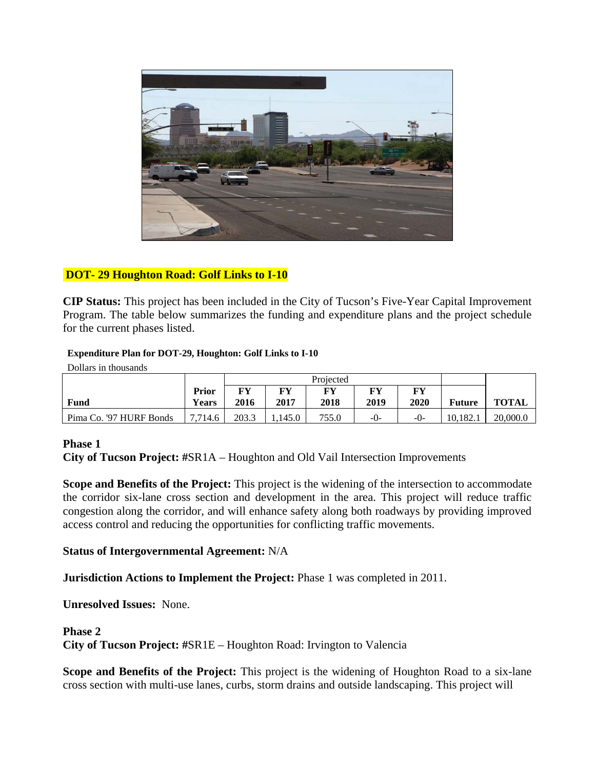

# **DOT- 29 Houghton Road: Golf Links to I-10**

**CIP Status:** This project has been included in the City of Tucson's Five-Year Capital Improvement Program. The table below summarizes the funding and expenditure plans and the project schedule for the current phases listed.

#### **Expenditure Plan for DOT-29, Houghton: Golf Links to I-10**

Dollars in thousands

|                         |              | Projected |       |       |         |         |               |              |
|-------------------------|--------------|-----------|-------|-------|---------|---------|---------------|--------------|
|                         | Prior        | FY        | FУ    | FY    | FV      | FY      |               |              |
| Fund                    | <b>Years</b> | 2016      | 2017  | 2018  | 2019    | 2020    | <b>Future</b> | <b>TOTAL</b> |
| Pima Co. '97 HURF Bonds | 7.714.6      | 203.3     | 145.0 | 755.0 | $-()$ - | $-()$ - | 10.182.1      | 20,000.0     |

#### **Phase 1**

**City of Tucson Project: #**SR1A – Houghton and Old Vail Intersection Improvements

**Scope and Benefits of the Project:** This project is the widening of the intersection to accommodate the corridor six-lane cross section and development in the area. This project will reduce traffic congestion along the corridor, and will enhance safety along both roadways by providing improved access control and reducing the opportunities for conflicting traffic movements.

#### **Status of Intergovernmental Agreement:** N/A

**Jurisdiction Actions to Implement the Project:** Phase 1 was completed in 2011.

**Unresolved Issues:** None.

#### **Phase 2**

**City of Tucson Project: #**SR1E – Houghton Road: Irvington to Valencia

**Scope and Benefits of the Project:** This project is the widening of Houghton Road to a six-lane cross section with multi-use lanes, curbs, storm drains and outside landscaping. This project will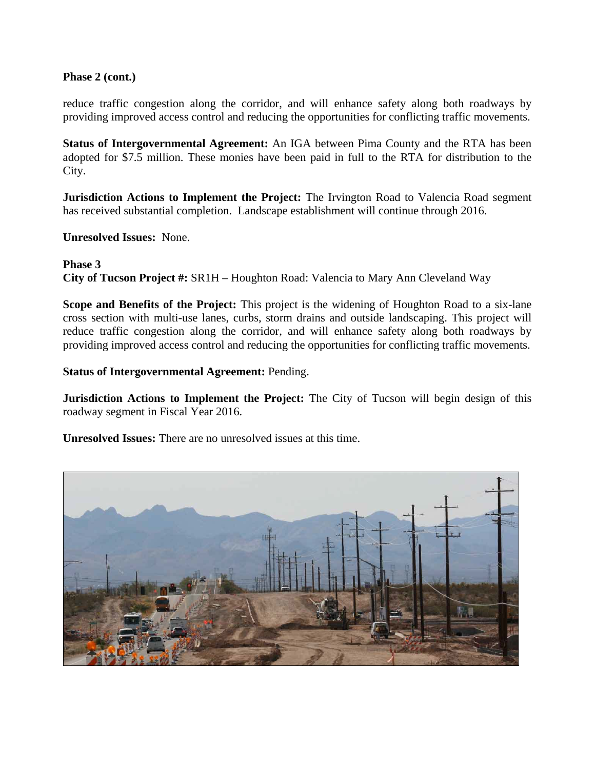#### **Phase 2 (cont.)**

reduce traffic congestion along the corridor, and will enhance safety along both roadways by providing improved access control and reducing the opportunities for conflicting traffic movements.

**Status of Intergovernmental Agreement:** An IGA between Pima County and the RTA has been adopted for \$7.5 million. These monies have been paid in full to the RTA for distribution to the City.

**Jurisdiction Actions to Implement the Project:** The Irvington Road to Valencia Road segment has received substantial completion. Landscape establishment will continue through 2016.

**Unresolved Issues:** None.

**Phase 3 City of Tucson Project #:** SR1H – Houghton Road: Valencia to Mary Ann Cleveland Way

**Scope and Benefits of the Project:** This project is the widening of Houghton Road to a six-lane cross section with multi-use lanes, curbs, storm drains and outside landscaping. This project will reduce traffic congestion along the corridor, and will enhance safety along both roadways by providing improved access control and reducing the opportunities for conflicting traffic movements.

**Status of Intergovernmental Agreement:** Pending.

**Jurisdiction Actions to Implement the Project:** The City of Tucson will begin design of this roadway segment in Fiscal Year 2016.

**Unresolved Issues:** There are no unresolved issues at this time.

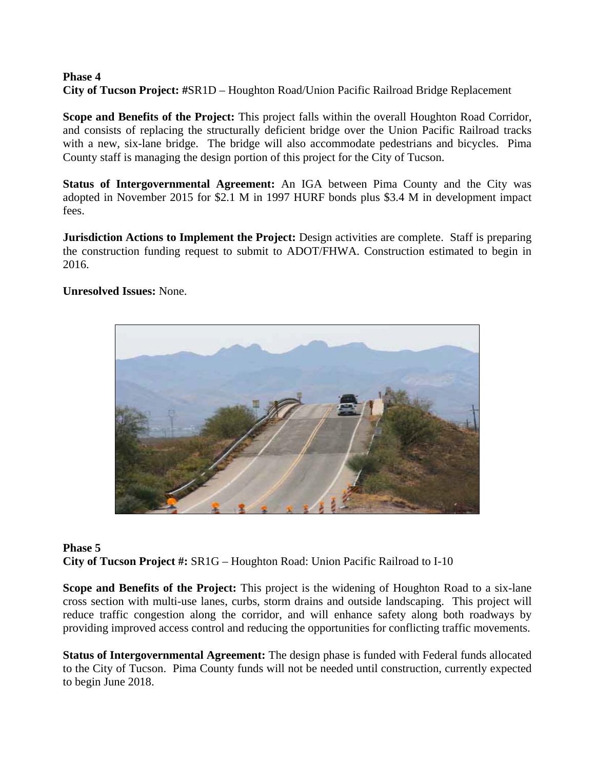#### **Phase 4 City of Tucson Project: #**SR1D – Houghton Road/Union Pacific Railroad Bridge Replacement

**Scope and Benefits of the Project:** This project falls within the overall Houghton Road Corridor, and consists of replacing the structurally deficient bridge over the Union Pacific Railroad tracks with a new, six-lane bridge. The bridge will also accommodate pedestrians and bicycles. Pima County staff is managing the design portion of this project for the City of Tucson.

**Status of Intergovernmental Agreement:** An IGA between Pima County and the City was adopted in November 2015 for \$2.1 M in 1997 HURF bonds plus \$3.4 M in development impact fees.

**Jurisdiction Actions to Implement the Project:** Design activities are complete. Staff is preparing the construction funding request to submit to ADOT/FHWA. Construction estimated to begin in 2016.

**Unresolved Issues:** None.



# **Phase 5 City of Tucson Project #:** SR1G – Houghton Road: Union Pacific Railroad to I-10

**Scope and Benefits of the Project:** This project is the widening of Houghton Road to a six-lane cross section with multi-use lanes, curbs, storm drains and outside landscaping. This project will reduce traffic congestion along the corridor, and will enhance safety along both roadways by providing improved access control and reducing the opportunities for conflicting traffic movements.

**Status of Intergovernmental Agreement:** The design phase is funded with Federal funds allocated to the City of Tucson. Pima County funds will not be needed until construction, currently expected to begin June 2018.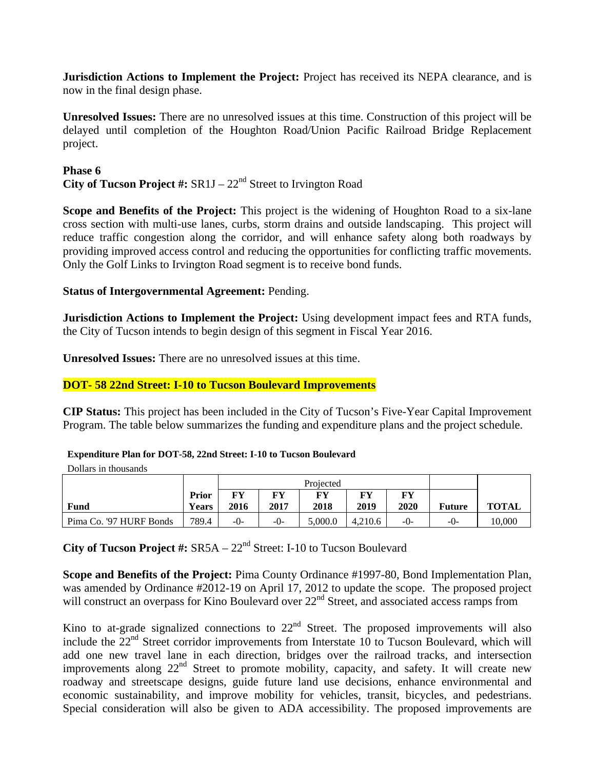**Jurisdiction Actions to Implement the Project:** Project has received its NEPA clearance, and is now in the final design phase.

**Unresolved Issues:** There are no unresolved issues at this time. Construction of this project will be delayed until completion of the Houghton Road/Union Pacific Railroad Bridge Replacement project.

#### **Phase 6**

**City of Tucson Project #:**  $SR1J - 22<sup>nd</sup>$  Street to Irvington Road

**Scope and Benefits of the Project:** This project is the widening of Houghton Road to a six-lane cross section with multi-use lanes, curbs, storm drains and outside landscaping. This project will reduce traffic congestion along the corridor, and will enhance safety along both roadways by providing improved access control and reducing the opportunities for conflicting traffic movements. Only the Golf Links to Irvington Road segment is to receive bond funds.

#### **Status of Intergovernmental Agreement:** Pending.

**Jurisdiction Actions to Implement the Project:** Using development impact fees and RTA funds, the City of Tucson intends to begin design of this segment in Fiscal Year 2016.

**Unresolved Issues:** There are no unresolved issues at this time.

#### **DOT- 58 22nd Street: I-10 to Tucson Boulevard Improvements**

**CIP Status:** This project has been included in the City of Tucson's Five-Year Capital Improvement Program. The table below summarizes the funding and expenditure plans and the project schedule.

#### **Expenditure Plan for DOT-58, 22nd Street: I-10 to Tucson Boulevard**

Dollars in thousands

|                         |                              | Projected  |            |            |            |            |        |              |
|-------------------------|------------------------------|------------|------------|------------|------------|------------|--------|--------------|
| Fund                    | <b>Prior</b><br><b>Years</b> | FY<br>2016 | FУ<br>2017 | FY<br>2018 | FV<br>2019 | FV<br>2020 | Future | <b>TOTAL</b> |
| Pima Co. '97 HURF Bonds | 789.4                        | -0-        | $-0-$      | 5,000.0    | 4.210.6    | $-()$ -    | -0-    | 10.000       |

**City of Tucson Project #:**  $SRSA - 22<sup>nd</sup>$  Street: I-10 to Tucson Boulevard

**Scope and Benefits of the Project:** Pima County Ordinance #1997-80, Bond Implementation Plan, was amended by Ordinance #2012-19 on April 17, 2012 to update the scope. The proposed project will construct an overpass for Kino Boulevard over 22<sup>nd</sup> Street, and associated access ramps from

Kino to at-grade signalized connections to  $22<sup>nd</sup>$  Street. The proposed improvements will also include the 22<sup>nd</sup> Street corridor improvements from Interstate 10 to Tucson Boulevard, which will add one new travel lane in each direction, bridges over the railroad tracks, and intersection improvements along  $22<sup>nd</sup>$  Street to promote mobility, capacity, and safety. It will create new roadway and streetscape designs, guide future land use decisions, enhance environmental and economic sustainability, and improve mobility for vehicles, transit, bicycles, and pedestrians. Special consideration will also be given to ADA accessibility. The proposed improvements are